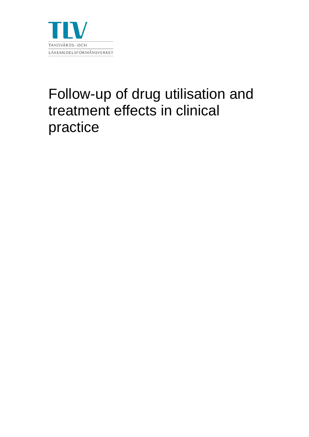

# Follow-up of drug utilisation and treatment effects in clinical practice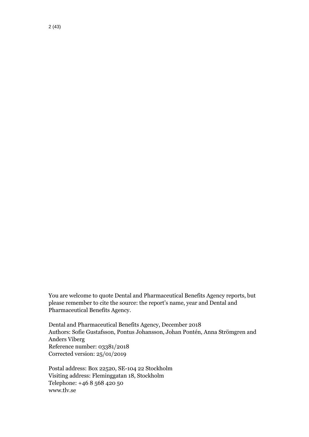You are welcome to quote Dental and Pharmaceutical Benefits Agency reports, but please remember to cite the source: the report's name, year and Dental and Pharmaceutical Benefits Agency.

Dental and Pharmaceutical Benefits Agency, December 2018 Authors: Sofie Gustafsson, Pontus Johansson, Johan Pontén, Anna Strömgren and Anders Viberg Reference number: 03381/2018 Corrected version: 25/01/2019

Postal address: Box 22520, SE-104 22 Stockholm Visiting address: Fleminggatan 18, Stockholm Telephone: +46 8 568 420 50 www.tlv.se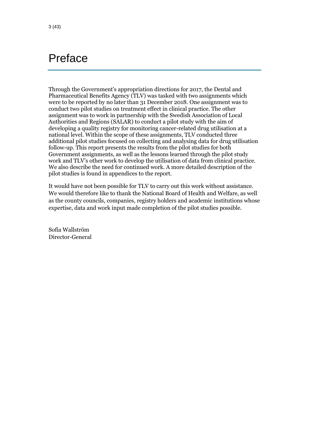## <span id="page-2-0"></span>Preface

Through the Government's appropriation directions for 2017, the Dental and Pharmaceutical Benefits Agency (TLV) was tasked with two assignments which were to be reported by no later than 31 December 2018. One assignment was to conduct two pilot studies on treatment effect in clinical practice. The other assignment was to work in partnership with the Swedish Association of Local Authorities and Regions (SALAR) to conduct a pilot study with the aim of developing a quality registry for monitoring cancer-related drug utilisation at a national level. Within the scope of these assignments, TLV conducted three additional pilot studies focused on collecting and analysing data for drug utilisation follow-up. This report presents the results from the pilot studies for both Government assignments, as well as the lessons learned through the pilot study work and TLV's other work to develop the utilisation of data from clinical practice. We also describe the need for continued work. A more detailed description of the pilot studies is found in appendices to the report.

It would have not been possible for TLV to carry out this work without assistance. We would therefore like to thank the National Board of Health and Welfare, as well as the county councils, companies, registry holders and academic institutions whose expertise, data and work input made completion of the pilot studies possible.

Sofia Wallström Director-General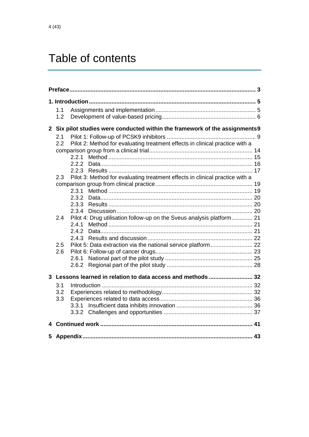## Table of contents

|  | 1.1                                                                                 |                                                                              |  |  |  |  |
|--|-------------------------------------------------------------------------------------|------------------------------------------------------------------------------|--|--|--|--|
|  | 1.2                                                                                 |                                                                              |  |  |  |  |
|  |                                                                                     | 2 Six pilot studies were conducted within the framework of the assignments9  |  |  |  |  |
|  | 2.1                                                                                 |                                                                              |  |  |  |  |
|  | 2.2                                                                                 | Pilot 2: Method for evaluating treatment effects in clinical practice with a |  |  |  |  |
|  |                                                                                     |                                                                              |  |  |  |  |
|  |                                                                                     | 2.2.1                                                                        |  |  |  |  |
|  |                                                                                     | 2.2.2                                                                        |  |  |  |  |
|  |                                                                                     | 2.2.3                                                                        |  |  |  |  |
|  | Pilot 3: Method for evaluating treatment effects in clinical practice with a<br>2.3 |                                                                              |  |  |  |  |
|  |                                                                                     | 2.3.1                                                                        |  |  |  |  |
|  |                                                                                     | 2.3.2                                                                        |  |  |  |  |
|  |                                                                                     | 2.3.3                                                                        |  |  |  |  |
|  |                                                                                     | 2.3.4                                                                        |  |  |  |  |
|  | 2.4                                                                                 | Pilot 4: Drug utilisation follow-up on the Sveus analysis platform 21        |  |  |  |  |
|  |                                                                                     | 2.4.1                                                                        |  |  |  |  |
|  |                                                                                     | 2.4.2                                                                        |  |  |  |  |
|  |                                                                                     |                                                                              |  |  |  |  |
|  | 2.5                                                                                 |                                                                              |  |  |  |  |
|  | 2.6                                                                                 |                                                                              |  |  |  |  |
|  |                                                                                     |                                                                              |  |  |  |  |
|  |                                                                                     | 2.6.2                                                                        |  |  |  |  |
|  |                                                                                     | 3 Lessons learned in relation to data access and methods  32                 |  |  |  |  |
|  | 3.1                                                                                 |                                                                              |  |  |  |  |
|  | 3.2                                                                                 |                                                                              |  |  |  |  |
|  | 3.3                                                                                 |                                                                              |  |  |  |  |
|  |                                                                                     | 3.3.1                                                                        |  |  |  |  |
|  |                                                                                     |                                                                              |  |  |  |  |
|  |                                                                                     |                                                                              |  |  |  |  |
|  |                                                                                     |                                                                              |  |  |  |  |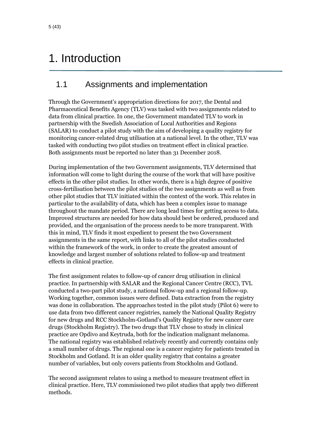## <span id="page-4-0"></span>1. Introduction

## <span id="page-4-1"></span>1.1 Assignments and implementation

Through the Government's appropriation directions for 2017, the Dental and Pharmaceutical Benefits Agency (TLV) was tasked with two assignments related to data from clinical practice. In one, the Government mandated TLV to work in partnership with the Swedish Association of Local Authorities and Regions (SALAR) to conduct a pilot study with the aim of developing a quality registry for monitoring cancer-related drug utilisation at a national level. In the other, TLV was tasked with conducting two pilot studies on treatment effect in clinical practice. Both assignments must be reported no later than 31 December 2018.

During implementation of the two Government assignments, TLV determined that information will come to light during the course of the work that will have positive effects in the other pilot studies. In other words, there is a high degree of positive cross-fertilisation between the pilot studies of the two assignments as well as from other pilot studies that TLV initiated within the context of the work. This relates in particular to the availability of data, which has been a complex issue to manage throughout the mandate period. There are long lead times for getting access to data. Improved structures are needed for how data should best be ordered, produced and provided, and the organisation of the process needs to be more transparent. With this in mind, TLV finds it most expedient to present the two Government assignments in the same report, with links to all of the pilot studies conducted within the framework of the work, in order to create the greatest amount of knowledge and largest number of solutions related to follow-up and treatment effects in clinical practice.

The first assignment relates to follow-up of cancer drug utilisation in clinical practice. In partnership with SALAR and the Regional Cancer Centre (RCC), TVL conducted a two-part pilot study, a national follow-up and a regional follow-up. Working together, common issues were defined. Data extraction from the registry was done in collaboration. The approaches tested in the pilot study (Pilot 6) were to use data from two different cancer registries, namely the National Quality Registry for new drugs and RCC Stockholm-Gotland's Quality Registry for new cancer care drugs (Stockholm Registry). The two drugs that TLV chose to study in clinical practice are Opdivo and Keytruda, both for the indication malignant melanoma. The national registry was established relatively recently and currently contains only a small number of drugs. The regional one is a cancer registry for patients treated in Stockholm and Gotland. It is an older quality registry that contains a greater number of variables, but only covers patients from Stockholm and Gotland.

The second assignment relates to using a method to measure treatment effect in clinical practice. Here, TLV commissioned two pilot studies that apply two different methods.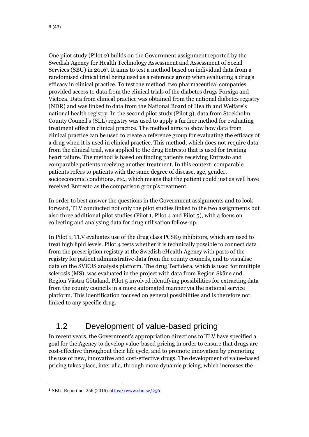One pilot study (Pilot 2) builds on the Government assignment reported by the Swedish Agency for Health Technology Assessment and Assessment of Social Services (SBU) in 2016<sup>1</sup>. It aims to test a method based on individual data from a randomised clinical trial being used as a reference group when evaluating a drug's efficacy in clinical practice. To test the method, two pharmaceutical companies provided access to data from the clinical trials of the diabetes drugs Forxiga and Victoza. Data from clinical practice was obtained from the national diabetes registry (NDR) and was linked to data from the National Board of Health and Welfare's national health registry. In the second pilot study (Pilot 3), data from Stockholm County Council's (SLL) registry was used to apply a further method for evaluating treatment effect in clinical practice. The method aims to show how data from clinical practice can be used to create a reference group for evaluating the efficacy of a drug when it is used in clinical practice. This method, which does not require data from the clinical trial, was applied to the drug Entresto that is used for treating heart failure. The method is based on finding patients receiving Entresto and comparable patients receiving another treatment. In this context, comparable patients refers to patients with the same degree of disease, age, gender, socioeconomic conditions, etc., which means that the patient could just as well have received Entresto as the comparison group's treatment.

In order to best answer the questions in the Government assignments and to look forward, TLV conducted not only the pilot studies linked to the two assignments but also three additional pilot studies (Pilot 1, Pilot 4 and Pilot 5), with a focus on collecting and analysing data for drug utilisation follow-up.

In Pilot 1, TLV evaluates use of the drug class PCSK9 inhibitors, which are used to treat high lipid levels. Pilot 4 tests whether it is technically possible to connect data from the prescription registry at the Swedish eHealth Agency with parts of the registry for patient administrative data from the county councils, and to visualise data on the SVEUS analysis platform. The drug Tecfidera, which is used for multiple sclerosis (MS), was evaluated in the project with data from Region Skåne and Region Västra Götaland. Pilot 5 involved identifying possibilities for extracting data from the county councils in a more automated manner via the national service platform. This identification focused on general possibilities and is therefore not linked to any specific drug.

## <span id="page-5-0"></span>1.2 Development of value-based pricing

In recent years, the Government's appropriation directions to TLV have specified a goal for the Agency to develop value-based pricing in order to ensure that drugs are cost-effective throughout their life cycle, and to promote innovation by promoting the use of new, innovative and cost-effective drugs. The development of value-based pricing takes place, inter alia, through more dynamic pricing, which increases the

 $\overline{a}$ 

<sup>1</sup> SBU, Report no. 256 (2016) <https://www.sbu.se/256>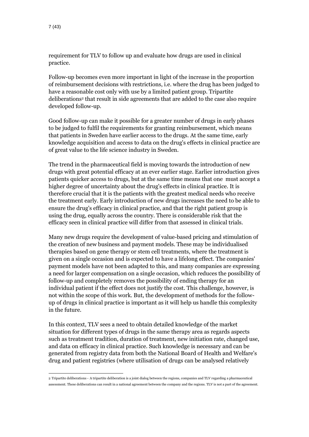$\overline{a}$ 

requirement for TLV to follow up and evaluate how drugs are used in clinical practice.

Follow-up becomes even more important in light of the increase in the proportion of reimbursement decisions with restrictions, i.e. where the drug has been judged to have a reasonable cost only with use by a limited patient group. Tripartite deliberations<sup>2</sup> that result in side agreements that are added to the case also require developed follow-up.

Good follow-up can make it possible for a greater number of drugs in early phases to be judged to fulfil the requirements for granting reimbursement, which means that patients in Sweden have earlier access to the drugs. At the same time, early knowledge acquisition and access to data on the drug's effects in clinical practice are of great value to the life science industry in Sweden.

The trend in the pharmaceutical field is moving towards the introduction of new drugs with great potential efficacy at an ever earlier stage. Earlier introduction gives patients quicker access to drugs, but at the same time means that one must accept a higher degree of uncertainty about the drug's effects in clinical practice. It is therefore crucial that it is the patients with the greatest medical needs who receive the treatment early. Early introduction of new drugs increases the need to be able to ensure the drug's efficacy in clinical practice, and that the right patient group is using the drug, equally across the country. There is considerable risk that the efficacy seen in clinical practice will differ from that assessed in clinical trials.

Many new drugs require the development of value-based pricing and stimulation of the creation of new business and payment models. These may be individualised therapies based on gene therapy or stem cell treatments, where the treatment is given on a single occasion and is expected to have a lifelong effect. The companies' payment models have not been adapted to this, and many companies are expressing a need for larger compensation on a single occasion, which reduces the possibility of follow-up and completely removes the possibility of ending therapy for an individual patient if the effect does not justify the cost. This challenge, however, is not within the scope of this work. But, the development of methods for the followup of drugs in clinical practice is important as it will help us handle this complexity in the future.

In this context, TLV sees a need to obtain detailed knowledge of the market situation for different types of drugs in the same therapy area as regards aspects such as treatment tradition, duration of treatment, new initiation rate, changed use, and data on efficacy in clinical practice. Such knowledge is necessary and can be generated from registry data from both the National Board of Health and Welfare's drug and patient registries (where utilisation of drugs can be analysed relatively

<sup>2</sup> Tripartite deliberations - A tripartite deliberation is a joint dialog between the regions, companies and TLV regarding a pharmaceutical assessment. These deliberations can result in a national agreement between the company and the regions. TLV is not a part of the agreement.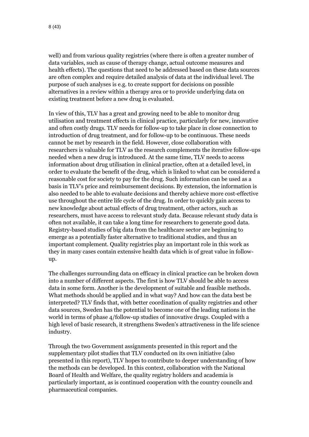well) and from various quality registries (where there is often a greater number of data variables, such as cause of therapy change, actual outcome measures and health effects). The questions that need to be addressed based on these data sources are often complex and require detailed analysis of data at the individual level. The purpose of such analyses is e.g. to create support for decisions on possible alternatives in a review within a therapy area or to provide underlying data on existing treatment before a new drug is evaluated.

In view of this, TLV has a great and growing need to be able to monitor drug utilisation and treatment effects in clinical practice, particularly for new, innovative and often costly drugs. TLV needs for follow-up to take place in close connection to introduction of drug treatment, and for follow-up to be continuous. These needs cannot be met by research in the field. However, close collaboration with researchers is valuable for TLV as the research complements the iterative follow-ups needed when a new drug is introduced. At the same time, TLV needs to access information about drug utilisation in clinical practice, often at a detailed level, in order to evaluate the benefit of the drug, which is linked to what can be considered a reasonable cost for society to pay for the drug. Such information can be used as a basis in TLV's price and reimbursement decisions. By extension, the information is also needed to be able to evaluate decisions and thereby achieve more cost-effective use throughout the entire life cycle of the drug. In order to quickly gain access to new knowledge about actual effects of drug treatment, other actors, such as researchers, must have access to relevant study data. Because relevant study data is often not available, it can take a long time for researchers to generate good data. Registry-based studies of big data from the healthcare sector are beginning to emerge as a potentially faster alternative to traditional studies, and thus an important complement. Quality registries play an important role in this work as they in many cases contain extensive health data which is of great value in followup.

The challenges surrounding data on efficacy in clinical practice can be broken down into a number of different aspects. The first is how TLV should be able to access data in some form. Another is the development of suitable and feasible methods. What methods should be applied and in what way? And how can the data best be interpreted? TLV finds that, with better coordination of quality registries and other data sources, Sweden has the potential to become one of the leading nations in the world in terms of phase 4/follow-up studies of innovative drugs. Coupled with a high level of basic research, it strengthens Sweden's attractiveness in the life science industry.

Through the two Government assignments presented in this report and the supplementary pilot studies that TLV conducted on its own initiative (also presented in this report), TLV hopes to contribute to deeper understanding of how the methods can be developed. In this context, collaboration with the National Board of Health and Welfare, the quality registry holders and academia is particularly important, as is continued cooperation with the country councils and pharmaceutical companies.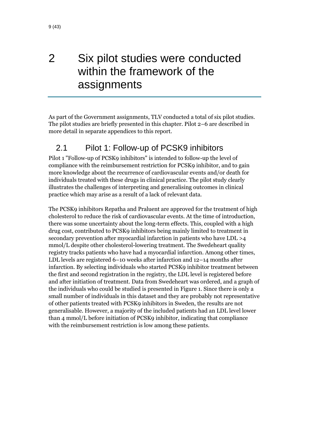## <span id="page-8-0"></span>2 Six pilot studies were conducted within the framework of the assignments

As part of the Government assignments, TLV conducted a total of six pilot studies. The pilot studies are briefly presented in this chapter. Pilot 2–6 are described in more detail in separate appendices to this report.

### <span id="page-8-1"></span>2.1 Pilot 1: Follow-up of PCSK9 inhibitors

Pilot 1 "Follow-up of PCSK9 inhibitors" is intended to follow-up the level of compliance with the reimbursement restriction for PCSK9 inhibitor, and to gain more knowledge about the recurrence of cardiovascular events and/or death for individuals treated with these drugs in clinical practice. The pilot study clearly illustrates the challenges of interpreting and generalising outcomes in clinical practice which may arise as a result of a lack of relevant data.

The PCSK9 inhibitors Repatha and Praluent are approved for the treatment of high cholesterol to reduce the risk of cardiovascular events. At the time of introduction, there was some uncertainty about the long-term effects. This, coupled with a high drug cost, contributed to PCSK9 inhibitors being mainly limited to treatment in secondary prevention after myocardial infarction in patients who have LDL >4 mmol/L despite other cholesterol-lowering treatment. The Swedeheart quality registry tracks patients who have had a myocardial infarction. Among other times, LDL levels are registered 6–10 weeks after infarction and 12–14 months after infarction. By selecting individuals who started PCSK9 inhibitor treatment between the first and second registration in the registry, the LDL level is registered before and after initiation of treatment. Data from Swedeheart was ordered, and a graph of the individuals who could be studied is presented in [Figure 1.](#page-9-0) Since there is only a small number of individuals in this dataset and they are probably not representative of other patients treated with PCSK9 inhibitors in Sweden, the results are not generalisable. However, a majority of the included patients had an LDL level lower than 4 mmol/L before initiation of PCSK9 inhibitor, indicating that compliance with the reimbursement restriction is low among these patients.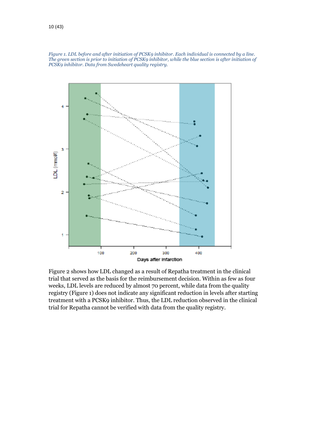<span id="page-9-0"></span>



[Figure 2](#page-10-0) shows how LDL changed as a result of Repatha treatment in the clinical trial that served as the basis for the reimbursement decision. Within as few as four weeks, LDL levels are reduced by almost 70 percent, while data from the quality registry [\(Figure 1\)](#page-9-0) does not indicate any significant reduction in levels after starting treatment with a PCSK9 inhibitor. Thus, the LDL reduction observed in the clinical trial for Repatha cannot be verified with data from the quality registry.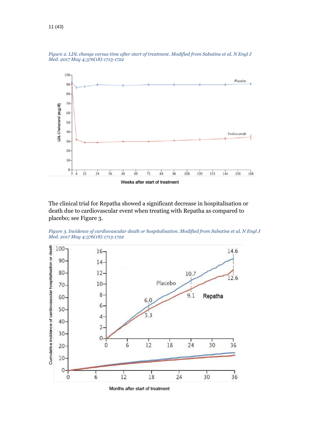

<span id="page-10-0"></span>*Figure 2. LDL change versus time after start of treatment. Modified from Sabatine et al. N Engl J Med. 2017 May 4;376(18):1713-1722*

The clinical trial for Repatha showed a significant decrease in hospitalisation or death due to cardiovascular event when treating with Repatha as compared to placebo; see [Figure 3.](#page-10-1)

<span id="page-10-1"></span>



Months after start of treatment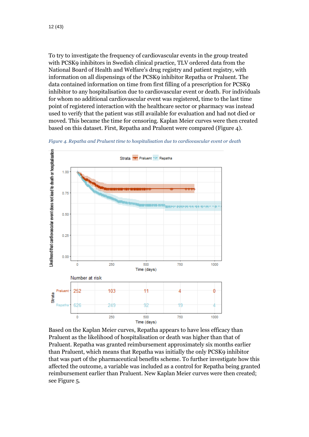To try to investigate the frequency of cardiovascular events in the group treated with PCSK9 inhibitors in Swedish clinical practice, TLV ordered data from the National Board of Health and Welfare's drug registry and patient registry, with information on all dispensings of the PCSK9 inhibitor Repatha or Praluent. The data contained information on time from first filling of a prescription for PCSK9 inhibitor to any hospitalisation due to cardiovascular event or death. For individuals for whom no additional cardiovascular event was registered, time to the last time point of registered interaction with the healthcare sector or pharmacy was instead used to verify that the patient was still available for evaluation and had not died or moved. This became the time for censoring. Kaplan Meier curves were then created based on this dataset. First, Repatha and Praluent were compared [\(Figure 4\)](#page-11-0).

<span id="page-11-0"></span>



Based on the Kaplan Meier curves, Repatha appears to have less efficacy than Praluent as the likelihood of hospitalisation or death was higher than that of Praluent. Repatha was granted reimbursement approximately six months earlier than Praluent, which means that Repatha was initially the only PCSK9 inhibitor that was part of the pharmaceutical benefits scheme. To further investigate how this affected the outcome, a variable was included as a control for Repatha being granted reimbursement earlier than Praluent. New Kaplan Meier curves were then created; se[e Figure 5.](#page-12-0)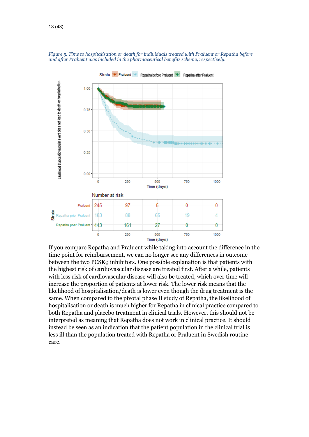

<span id="page-12-0"></span>*Figure 5. Time to hospitalisation or death for individuals treated with Praluent or Repatha before and after Praluent was included in the pharmaceutical benefits scheme, respectively.*

If you compare Repatha and Praluent while taking into account the difference in the time point for reimbursement, we can no longer see any differences in outcome between the two PCSK9 inhibitors. One possible explanation is that patients with the highest risk of cardiovascular disease are treated first. After a while, patients with less risk of cardiovascular disease will also be treated, which over time will increase the proportion of patients at lower risk. The lower risk means that the likelihood of hospitalisation/death is lower even though the drug treatment is the same. When compared to the pivotal phase II study of Repatha, the likelihood of hospitalisation or death is much higher for Repatha in clinical practice compared to both Repatha and placebo treatment in clinical trials. However, this should not be interpreted as meaning that Repatha does not work in clinical practice. It should instead be seen as an indication that the patient population in the clinical trial is less ill than the population treated with Repatha or Praluent in Swedish routine care.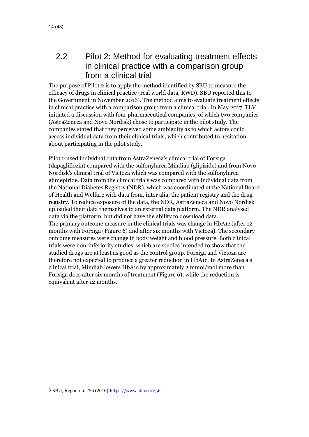## <span id="page-13-0"></span>2.2 Pilot 2: Method for evaluating treatment effects in clinical practice with a comparison group from a clinical trial

The purpose of Pilot 2 is to apply the method identified by SBU to measure the efficacy of drugs in clinical practice (real world data, RWD). SBU reported this to the Government in November 2016<sup>3</sup> . The method aims to evaluate treatment effects in clinical practice with a comparison group from a clinical trial. In May 2017, TLV initiated a discussion with four pharmaceutical companies, of which two companies (AstraZeneca and Novo Nordisk) chose to participate in the pilot study. The companies stated that they perceived some ambiguity as to which actors could access individual data from their clinical trials, which contributed to hesitation about participating in the pilot study.

Pilot 2 used individual data from AstraZeneca's clinical trial of Forxiga (dapagliflozin) compared with the sulfonylurea Mindiab (glipizide) and from Novo Nordisk's clinical trial of Victoza which was compared with the sulfonylurea glimepiride. Data from the clinical trials was compared with individual data from the National Diabetes Registry (NDR), which was coordinated at the National Board of Health and Welfare with data from, inter alia, the patient registry and the drug registry. To reduce exposure of the data, the NDR, AstraZeneca and Novo Nordisk uploaded their data themselves to an external data platform. The NDR analysed data via the platform, but did not have the ability to download data. The primary outcome measure in the clinical trials was change in HbA1c (after 12 months with Forxiga [\(Figure 6\)](#page-14-1) and after six months with Victoza). The secondary outcome measures were change in body weight and blood pressure. Both clinical trials were non-inferiority studies, which are studies intended to show that the studied drugs are at least as good as the control group. Forxiga and Victoza are therefore not expected to produce a greater reduction in HbA1c. In AstraZeneca's clinical trial, Mindiab lowers HbA1c by approximately 2 mmol/mol more than Forxiga does after six months of treatment [\(Figure 6\)](#page-14-1), while the reduction is equivalent after 12 months.

 $\overline{a}$ 

<sup>3</sup> SBU, Report no. 256 (2016) <https://www.sbu.se/256>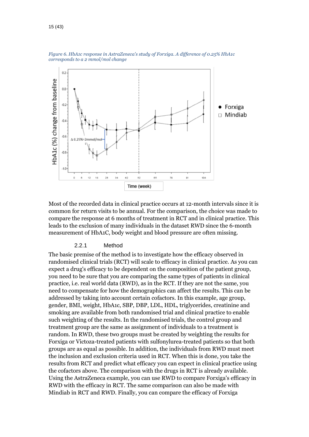

<span id="page-14-1"></span>*Figure 6. HbA1c response in AstraZeneca's study of Forxiga. A difference of 0.25% HbA1c corresponds to a 2 mmol/mol change*

Most of the recorded data in clinical practice occurs at 12-month intervals since it is common for return visits to be annual. For the comparison, the choice was made to compare the response at 6 months of treatment in RCT and in clinical practice. This leads to the exclusion of many individuals in the dataset RWD since the 6-month measurement of HbA1C, body weight and blood pressure are often missing.

#### 2.2.1 Method

<span id="page-14-0"></span>The basic premise of the method is to investigate how the efficacy observed in randomised clinical trials (RCT) will scale to efficacy in clinical practice. As you can expect a drug's efficacy to be dependent on the composition of the patient group, you need to be sure that you are comparing the same types of patients in clinical practice, i.e. real world data (RWD), as in the RCT. If they are not the same, you need to compensate for how the demographics can affect the results. This can be addressed by taking into account certain cofactors. In this example, age group, gender, BMI, weight, HbA1c, SBP, DBP, LDL, HDL, triglycerides, creatinine and smoking are available from both randomised trial and clinical practice to enable such weighting of the results. In the randomised trials, the control group and treatment group are the same as assignment of individuals to a treatment is random. In RWD, these two groups must be created by weighting the results for Forxiga or Victoza-treated patients with sulfonylurea-treated patients so that both groups are as equal as possible. In addition, the individuals from RWD must meet the inclusion and exclusion criteria used in RCT. When this is done, you take the results from RCT and predict what efficacy you can expect in clinical practice using the cofactors above. The comparison with the drugs in RCT is already available. Using the AstraZeneca example, you can use RWD to compare Forxiga's efficacy in RWD with the efficacy in RCT. The same comparison can also be made with Mindiab in RCT and RWD. Finally, you can compare the efficacy of Forxiga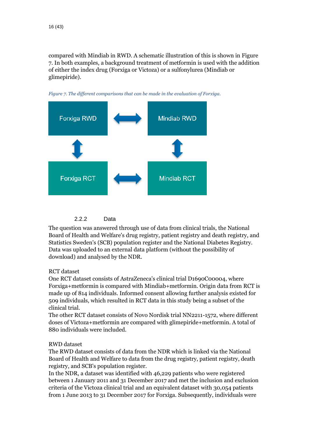compared with Mindiab in RWD. A schematic illustration of this is shown in [Figure](#page-15-1)  [7.](#page-15-1) In both examples, a background treatment of metformin is used with the addition of either the index drug (Forxiga or Victoza) or a sulfonylurea (Mindiab or glimepiride).



<span id="page-15-1"></span>

```
2.2.2 Data
```
<span id="page-15-0"></span>The question was answered through use of data from clinical trials, the National Board of Health and Welfare's drug registry, patient registry and death registry, and Statistics Sweden's (SCB) population register and the National Diabetes Registry. Data was uploaded to an external data platform (without the possibility of download) and analysed by the NDR.

#### RCT dataset

One RCT dataset consists of AstraZeneca's clinical trial D1690C00004, where Forxiga+metformin is compared with Mindiab+metformin. Origin data from RCT is made up of 814 individuals. Informed consent allowing further analysis existed for 509 individuals, which resulted in RCT data in this study being a subset of the clinical trial.

The other RCT dataset consists of Novo Nordisk trial NN2211-1572, where different doses of Victoza+metformin are compared with glimepiride+metformin. A total of 880 individuals were included.

#### RWD dataset

The RWD dataset consists of data from the NDR which is linked via the National Board of Health and Welfare to data from the drug registry, patient registry, death registry, and SCB's population register.

In the NDR, a dataset was identified with 46,229 patients who were registered between 1 January 2011 and 31 December 2017 and met the inclusion and exclusion criteria of the Victoza clinical trial and an equivalent dataset with 30,054 patients from 1 June 2013 to 31 December 2017 for Forxiga. Subsequently, individuals were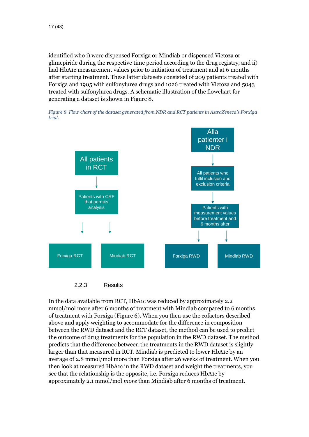identified who i) were dispensed Forxiga or Mindiab or dispensed Victoza or glimepiride during the respective time period according to the drug registry, and ii) had HbA1c measurement values prior to initiation of treatment and at 6 months after starting treatment. These latter datasets consisted of 209 patients treated with Forxiga and 1905 with sulfonylurea drugs and 1026 treated with Victoza and 5043 treated with sulfonylurea drugs. A schematic illustration of the flowchart for generating a dataset is shown in [Figure 8.](#page-16-1)

<span id="page-16-1"></span>





<span id="page-16-0"></span>In the data available from RCT, HbA1c was reduced by approximately 2.2 mmol/mol more after 6 months of treatment with Mindiab compared to 6 months of treatment with Forxiga [\(Figure 6\)](#page-14-1). When you then use the cofactors described above and apply weighting to accommodate for the difference in composition between the RWD dataset and the RCT dataset, the method can be used to predict the outcome of drug treatments for the population in the RWD dataset. The method predicts that the difference between the treatments in the RWD dataset is slightly larger than that measured in RCT. Mindiab is predicted to lower HbA1c by an average of 2.8 mmol/mol more than Forxiga after 26 weeks of treatment. When you then look at measured HbA1c in the RWD dataset and weight the treatments, you see that the relationship is the opposite, i.e. Forxiga reduces HbA1c by approximately 2.1 mmol/mol *more* than Mindiab after 6 months of treatment.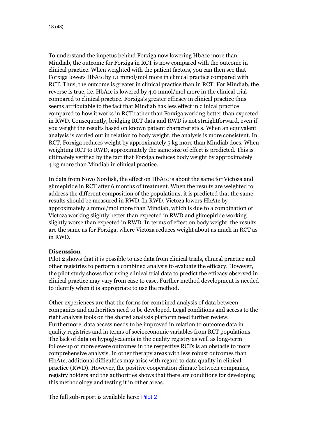To understand the impetus behind Forxiga now lowering HbA1c more than Mindiab, the outcome for Forxiga in RCT is now compared with the outcome in clinical practice. When weighted with the patient factors, you can then see that Forxiga lowers HbA1c by 1.1 mmol/mol more in clinical practice compared with RCT. Thus, the outcome is greater in clinical practice than in RCT. For Mindiab, the reverse is true, i.e. HbA1c is lowered by 4.0 mmol/mol more in the clinical trial compared to clinical practice. Forxiga's greater efficacy in clinical practice thus seems attributable to the fact that Mindiab has less effect in clinical practice compared to how it works in RCT rather than Forxiga working better than expected in RWD. Consequently, bridging RCT data and RWD is not straightforward, even if you weight the results based on known patient characteristics. When an equivalent analysis is carried out in relation to body weight, the analysis is more consistent. In RCT, Forxiga reduces weight by approximately 5 kg more than Mindiab does. When weighting RCT to RWD, approximately the same size of effect is predicted. This is ultimately verified by the fact that Forxiga reduces body weight by approximately 4 kg more than Mindiab in clinical practice.

In data from Novo Nordisk, the effect on HbA1c is about the same for Victoza and glimepiride in RCT after 6 months of treatment. When the results are weighted to address the different composition of the populations, it is predicted that the same results should be measured in RWD. In RWD, Victoza lowers HbA1c by approximately 2 mmol/mol more than Mindiab, which is due to a combination of Victoza working slightly better than expected in RWD and glimepiride working slightly worse than expected in RWD. In terms of effect on body weight, the results are the same as for Forxiga, where Victoza reduces weight about as much in RCT as in RWD.

#### **Discussion**

Pilot 2 shows that it is possible to use data from clinical trials, clinical practice and other registries to perform a combined analysis to evaluate the efficacy. However, the pilot study shows that using clinical trial data to predict the efficacy observed in clinical practice may vary from case to case. Further method development is needed to identify when it is appropriate to use the method.

Other experiences are that the forms for combined analysis of data between companies and authorities need to be developed. Legal conditions and access to the right analysis tools on the shared analysis platform need further review. Furthermore, data access needs to be improved in relation to outcome data in quality registries and in terms of socioeconomic variables from RCT populations. The lack of data on hypoglycaemia in the quality registry as well as long-term follow-up of more severe outcomes in the respective RCTs is an obstacle to more comprehensive analysis. In other therapy areas with less robust outcomes than HbA1c, additional difficulties may arise with regard to data quality in clinical practice (RWD). However, the positive cooperation climate between companies, registry holders and the authorities shows that there are conditions for developing this methodology and testing it in other areas.

The full sub-report is available here: [Pilot 2](https://www.tlv.se/download/18.3d61c3c3167c695651ef749/1545299007346/Pilot2-Metod_for_utvardering_av_behandlingseffekter_i_klinisk_vardag_med_en_jamforelsegrupp_fran_en_klinisk_provning.pdf)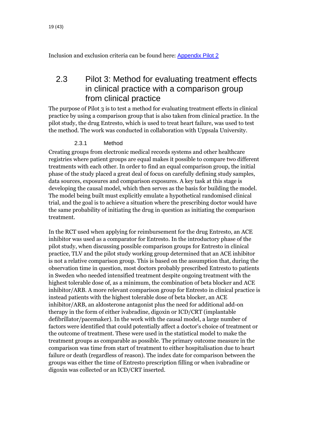Inclusion and exclusion criteria can be found here: [Appendix Pilot 2](https://www.tlv.se/download/18.3d61c3c3167c695651ef748/1545299007295/Pilot2-Appendix_inklusionskriterier.pdf)

### <span id="page-18-0"></span>2.3 Pilot 3: Method for evaluating treatment effects in clinical practice with a comparison group from clinical practice

The purpose of Pilot 3 is to test a method for evaluating treatment effects in clinical practice by using a comparison group that is also taken from clinical practice. In the pilot study, the drug Entresto, which is used to treat heart failure, was used to test the method. The work was conducted in collaboration with Uppsala University.

#### 2.3.1 Method

<span id="page-18-1"></span>Creating groups from electronic medical records systems and other healthcare registries where patient groups are equal makes it possible to compare two different treatments with each other. In order to find an equal comparison group, the initial phase of the study placed a great deal of focus on carefully defining study samples, data sources, exposures and comparison exposures. A key task at this stage is developing the causal model, which then serves as the basis for building the model. The model being built must explicitly emulate a hypothetical randomised clinical trial, and the goal is to achieve a situation where the prescribing doctor would have the same probability of initiating the drug in question as initiating the comparison treatment.

In the RCT used when applying for reimbursement for the drug Entresto, an ACE inhibitor was used as a comparator for Entresto. In the introductory phase of the pilot study, when discussing possible comparison groups for Entresto in clinical practice, TLV and the pilot study working group determined that an ACE inhibitor is not a relative comparison group. This is based on the assumption that, during the observation time in question, most doctors probably prescribed Entresto to patients in Sweden who needed intensified treatment despite ongoing treatment with the highest tolerable dose of, as a minimum, the combination of beta blocker and ACE inhibitor/ARB. A more relevant comparison group for Entresto in clinical practice is instead patients with the highest tolerable dose of beta blocker, an ACE inhibitor/ARB, an aldosterone antagonist plus the need for additional add-on therapy in the form of either ivabradine, digoxin or ICD/CRT (implantable defibrillator/pacemaker). In the work with the causal model, a large number of factors were identified that could potentially affect a doctor's choice of treatment or the outcome of treatment. These were used in the statistical model to make the treatment groups as comparable as possible. The primary outcome measure in the comparison was time from start of treatment to either hospitalisation due to heart failure or death (regardless of reason). The index date for comparison between the groups was either the time of Entresto prescription filling or when ivabradine or digoxin was collected or an ICD/CRT inserted.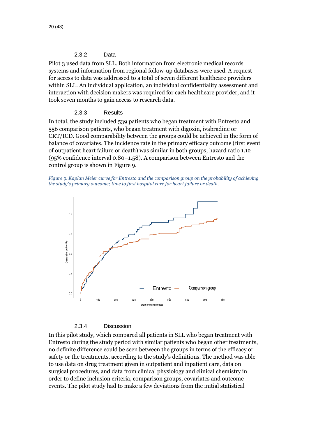#### 2.3.2 Data

<span id="page-19-0"></span>Pilot 3 used data from SLL. Both information from electronic medical records systems and information from regional follow-up databases were used. A request for access to data was addressed to a total of seven different healthcare providers within SLL. An individual application, an individual confidentiality assessment and interaction with decision makers was required for each healthcare provider, and it took seven months to gain access to research data.

#### 2.3.3 Results

<span id="page-19-1"></span>In total, the study included 539 patients who began treatment with Entresto and 556 comparison patients, who began treatment with digoxin, ivabradine or CRT/ICD. Good comparability between the groups could be achieved in the form of balance of covariates. The incidence rate in the primary efficacy outcome (first event of outpatient heart failure or death) was similar in both groups; hazard ratio 1.12 (95% confidence interval 0.80–1.58). A comparison between Entresto and the control group is shown i[n Figure 9.](#page-19-3)

<span id="page-19-3"></span>



2.3.4 Discussion

<span id="page-19-2"></span>In this pilot study, which compared all patients in SLL who began treatment with Entresto during the study period with similar patients who began other treatments, no definite difference could be seen between the groups in terms of the efficacy or safety or the treatments, according to the study's definitions. The method was able to use data on drug treatment given in outpatient and inpatient care, data on surgical procedures, and data from clinical physiology and clinical chemistry in order to define inclusion criteria, comparison groups, covariates and outcome events. The pilot study had to make a few deviations from the initial statistical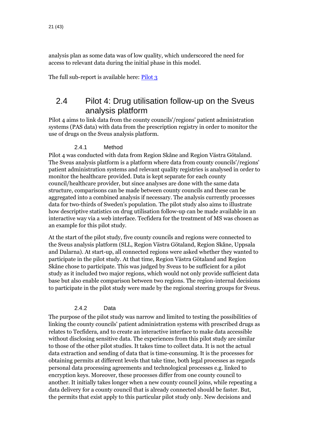analysis plan as some data was of low quality, which underscored the need for access to relevant data during the initial phase in this model.

The full sub-report is available here: [Pilot 3](https://www.tlv.se/download/18.3d61c3c3167c695651ef74a/1545299007466/Pilot3-Metod_for_utvardering_av_behandlingseffekter_i_klinisk_vardag_med_en_jamforelsegrupp_fran_klinisk_vardag.pdf)

### <span id="page-20-0"></span>2.4 Pilot 4: Drug utilisation follow-up on the Sveus analysis platform

Pilot 4 aims to link data from the county councils'/regions' patient administration systems (PAS data) with data from the prescription registry in order to monitor the use of drugs on the Sveus analysis platform.

#### 2.4.1 Method

<span id="page-20-1"></span>Pilot 4 was conducted with data from Region Skåne and Region Västra Götaland. The Sveus analysis platform is a platform where data from county councils'/regions' patient administration systems and relevant quality registries is analysed in order to monitor the healthcare provided. Data is kept separate for each county council/healthcare provider, but since analyses are done with the same data structure, comparisons can be made between county councils and these can be aggregated into a combined analysis if necessary. The analysis currently processes data for two-thirds of Sweden's population. The pilot study also aims to illustrate how descriptive statistics on drug utilisation follow-up can be made available in an interactive way via a web interface. Tecfidera for the treatment of MS was chosen as an example for this pilot study.

At the start of the pilot study, five county councils and regions were connected to the Sveus analysis platform (SLL, Region Västra Götaland, Region Skåne, Uppsala and Dalarna). At start-up, all connected regions were asked whether they wanted to participate in the pilot study. At that time, Region Västra Götaland and Region Skåne chose to participate. This was judged by Sveus to be sufficient for a pilot study as it included two major regions, which would not only provide sufficient data base but also enable comparison between two regions. The region-internal decisions to participate in the pilot study were made by the regional steering groups for Sveus.

#### 2.4.2 Data

<span id="page-20-2"></span>The purpose of the pilot study was narrow and limited to testing the possibilities of linking the county councils' patient administration systems with prescribed drugs as relates to Tecfidera, and to create an interactive interface to make data accessible without disclosing sensitive data. The experiences from this pilot study are similar to those of the other pilot studies. It takes time to collect data. It is not the actual data extraction and sending of data that is time-consuming. It is the processes for obtaining permits at different levels that take time, both legal processes as regards personal data processing agreements and technological processes e.g. linked to encryption keys. Moreover, these processes differ from one county council to another. It initially takes longer when a new county council joins, while repeating a data delivery for a county council that is already connected should be faster. But, the permits that exist apply to this particular pilot study only. New decisions and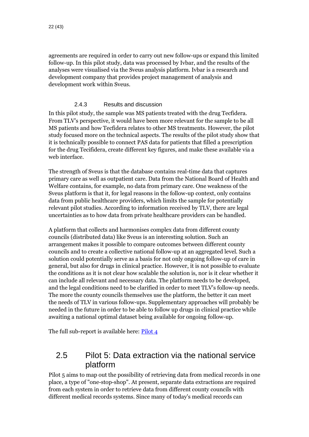agreements are required in order to carry out new follow-ups or expand this limited follow-up. In this pilot study, data was processed by Ivbar, and the results of the analyses were visualised via the Sveus analysis platform. Ivbar is a research and development company that provides project management of analysis and development work within Sveus.

#### 2.4.3 Results and discussion

<span id="page-21-0"></span>In this pilot study, the sample was MS patients treated with the drug Tecfidera. From TLV's perspective, it would have been more relevant for the sample to be all MS patients and how Tecfidera relates to other MS treatments. However, the pilot study focused more on the technical aspects. The results of the pilot study show that it is technically possible to connect PAS data for patients that filled a prescription for the drug Tecifidera, create different key figures, and make these available via a web interface.

The strength of Sveus is that the database contains real-time data that captures primary care as well as outpatient care. Data from the National Board of Health and Welfare contains, for example, no data from primary care. One weakness of the Sveus platform is that it, for legal reasons in the follow-up context, only contains data from public healthcare providers, which limits the sample for potentially relevant pilot studies. According to information received by TLV, there are legal uncertainties as to how data from private healthcare providers can be handled.

A platform that collects and harmonises complex data from different county councils (distributed data) like Sveus is an interesting solution. Such an arrangement makes it possible to compare outcomes between different county councils and to create a collective national follow-up at an aggregated level. Such a solution could potentially serve as a basis for not only ongoing follow-up of care in general, but also for drugs in clinical practice. However, it is not possible to evaluate the conditions as it is not clear how scalable the solution is, nor is it clear whether it can include all relevant and necessary data. The platform needs to be developed, and the legal conditions need to be clarified in order to meet TLV's follow-up needs. The more the county councils themselves use the platform, the better it can meet the needs of TLV in various follow-ups. Supplementary approaches will probably be needed in the future in order to be able to follow up drugs in clinical practice while awaiting a national optimal dataset being available for ongoing follow-up.

The full sub-report is available here:  $Pilot 4$ 

## <span id="page-21-1"></span>2.5 Pilot 5: Data extraction via the national service platform

Pilot 5 aims to map out the possibility of retrieving data from medical records in one place, a type of "one-stop-shop". At present, separate data extractions are required from each system in order to retrieve data from different county councils with different medical records systems. Since many of today's medical records can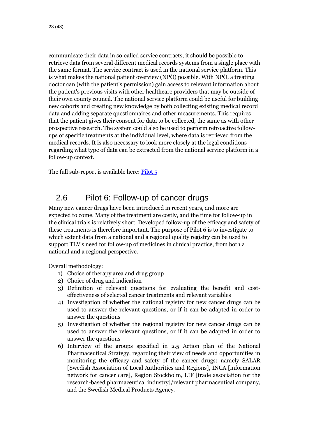communicate their data in so-called service contracts, it should be possible to retrieve data from several different medical records systems from a single place with the same format. The service contract is used in the national service platform. This is what makes the national patient overview (NPÖ) possible. With NPÖ, a treating doctor can (with the patient's permission) gain access to relevant information about the patient's previous visits with other healthcare providers that may be outside of their own county council. The national service platform could be useful for building new cohorts and creating new knowledge by both collecting existing medical record data and adding separate questionnaires and other measurements. This requires that the patient gives their consent for data to be collected, the same as with other prospective research. The system could also be used to perform retroactive followups of specific treatments at the individual level, where data is retrieved from the medical records. It is also necessary to look more closely at the legal conditions regarding what type of data can be extracted from the national service platform in a follow-up context.

The full sub-report is available here: [Pilot 5](https://www.tlv.se/download/18.3d61c3c3167c695651ef74c/1545299007618/Pilot5-Datauttag_via_nationella_tjansteplattformen.pdf)

### <span id="page-22-0"></span>2.6 Pilot 6: Follow-up of cancer drugs

Many new cancer drugs have been introduced in recent years, and more are expected to come. Many of the treatment are costly, and the time for follow-up in the clinical trials is relatively short. Developed follow-up of the efficacy and safety of these treatments is therefore important. The purpose of Pilot 6 is to investigate to which extent data from a national and a regional quality registry can be used to support TLV's need for follow-up of medicines in clinical practice, from both a national and a regional perspective.

Overall methodology:

- 1) Choice of therapy area and drug group
- 2) Choice of drug and indication
- 3) Definition of relevant questions for evaluating the benefit and costeffectiveness of selected cancer treatments and relevant variables
- 4) Investigation of whether the national registry for new cancer drugs can be used to answer the relevant questions, or if it can be adapted in order to answer the questions
- 5) Investigation of whether the regional registry for new cancer drugs can be used to answer the relevant questions, or if it can be adapted in order to answer the questions
- 6) Interview of the groups specified in 2.5 Action plan of the National Pharmaceutical Strategy, regarding their view of needs and opportunities in monitoring the efficacy and safety of the cancer drugs: namely SALAR [Swedish Association of Local Authorities and Regions], INCA [information network for cancer care], Region Stockholm, LIF [trade association for the research-based pharmaceutical industry]/relevant pharmaceutical company, and the Swedish Medical Products Agency.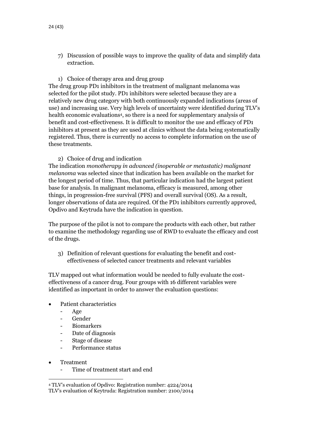- 7) Discussion of possible ways to improve the quality of data and simplify data extraction.
- 1) Choice of therapy area and drug group

The drug group PD1 inhibitors in the treatment of malignant melanoma was selected for the pilot study. PD1 inhibitors were selected because they are a relatively new drug category with both continuously expanded indications (areas of use) and increasing use. Very high levels of uncertainty were identified during TLV's health economic evaluations<sup>4</sup> , so there is a need for supplementary analysis of benefit and cost-effectiveness. It is difficult to monitor the use and efficacy of PD1 inhibitors at present as they are used at clinics without the data being systematically registered. Thus, there is currently no access to complete information on the use of these treatments.

#### 2) Choice of drug and indication

The indication *monotherapy in advanced (inoperable or metastatic) malignant melanoma* was selected since that indication has been available on the market for the longest period of time. Thus, that particular indication had the largest patient base for analysis. In malignant melanoma, efficacy is measured, among other things, in progression-free survival (PFS) and overall survival (OS). As a result, longer observations of data are required. Of the PD1 inhibitors currently approved, Opdivo and Keytruda have the indication in question.

The purpose of the pilot is not to compare the products with each other, but rather to examine the methodology regarding use of RWD to evaluate the efficacy and cost of the drugs.

3) Definition of relevant questions for evaluating the benefit and costeffectiveness of selected cancer treatments and relevant variables

TLV mapped out what information would be needed to fully evaluate the costeffectiveness of a cancer drug. Four groups with 16 different variables were identified as important in order to answer the evaluation questions:

- Patient characteristics
	- Age
	- Gender
	- Biomarkers
	- Date of diagnosis
	- Stage of disease
	- Performance status
- Treatment

 $\overline{a}$ 

Time of treatment start and end

<sup>4</sup> TLV's evaluation of Opdivo: Registration number: 4224/2014 TLV's evaluation of Keytruda: Registration number: 2100/2014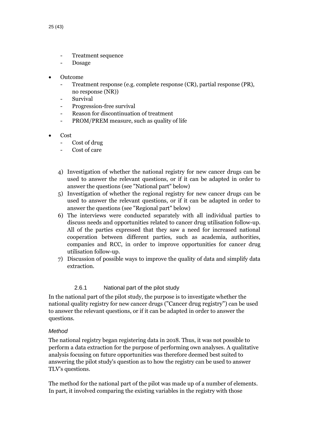- Treatment sequence
- **Dosage**
- Outcome
	- Treatment response (e.g. complete response (CR), partial response (PR), no response (NR))
	- **Survival**
	- Progression-free survival
	- Reason for discontinuation of treatment
	- PROM/PREM measure, such as quality of life
- Cost
	- Cost of drug
	- Cost of care
	- 4) Investigation of whether the national registry for new cancer drugs can be used to answer the relevant questions, or if it can be adapted in order to answer the questions (see "National part" below)
	- 5) Investigation of whether the regional registry for new cancer drugs can be used to answer the relevant questions, or if it can be adapted in order to answer the questions (see "Regional part" below)
	- 6) The interviews were conducted separately with all individual parties to discuss needs and opportunities related to cancer drug utilisation follow-up. All of the parties expressed that they saw a need for increased national cooperation between different parties, such as academia, authorities, companies and RCC, in order to improve opportunities for cancer drug utilisation follow-up.
	- 7) Discussion of possible ways to improve the quality of data and simplify data extraction.

#### 2.6.1 National part of the pilot study

<span id="page-24-0"></span>In the national part of the pilot study, the purpose is to investigate whether the national quality registry for new cancer drugs ("Cancer drug registry") can be used to answer the relevant questions, or if it can be adapted in order to answer the questions.

#### *Method*

The national registry began registering data in 2018. Thus, it was not possible to perform a data extraction for the purpose of performing own analyses. A qualitative analysis focusing on future opportunities was therefore deemed best suited to answering the pilot study's question as to how the registry can be used to answer TLV's questions.

The method for the national part of the pilot was made up of a number of elements. In part, it involved comparing the existing variables in the registry with those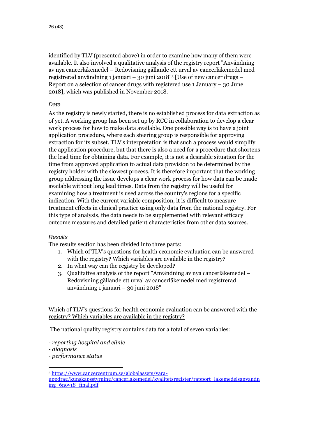identified by TLV (presented above) in order to examine how many of them were available. It also involved a qualitative analysis of the registry report "Användning av nya cancerläkemedel – Redovisning gällande ett urval av cancerläkemedel med registrerad användning 1 januari – 30 juni 2018"<sup>5</sup> [Use of new cancer drugs – Report on a selection of cancer drugs with registered use 1 January – 30 June 2018], which was published in November 2018.

#### *Data*

As the registry is newly started, there is no established process for data extraction as of yet. A working group has been set up by RCC in collaboration to develop a clear work process for how to make data available. One possible way is to have a joint application procedure, where each steering group is responsible for approving extraction for its subset. TLV's interpretation is that such a process would simplify the application procedure, but that there is also a need for a procedure that shortens the lead time for obtaining data. For example, it is not a desirable situation for the time from approved application to actual data provision to be determined by the registry holder with the slowest process. It is therefore important that the working group addressing the issue develops a clear work process for how data can be made available without long lead times. Data from the registry will be useful for examining how a treatment is used across the country's regions for a specific indication. With the current variable composition, it is difficult to measure treatment effects in clinical practice using only data from the national registry. For this type of analysis, the data needs to be supplemented with relevant efficacy outcome measures and detailed patient characteristics from other data sources.

#### *Results*

The results section has been divided into three parts:

- 1. Which of TLV's questions for health economic evaluation can be answered with the registry? Which variables are available in the registry?
- 2. In what way can the registry be developed?
- 3. Qualitative analysis of the report "Användning av nya cancerläkemedel Redovisning gällande ett urval av cancerläkemedel med registrerad användning 1 januari – 30 juni 2018"

Which of TLV's questions for health economic evaluation can be answered with the registry? Which variables are available in the registry?

The national quality registry contains data for a total of seven variables:

*- reporting hospital and clinic*

*- diagnosis*

 $\overline{a}$ 

*- performance status*

<sup>5</sup> [https://www.cancercentrum.se/globalassets/vara](https://www.cancercentrum.se/globalassets/vara-uppdrag/kunskapsstyrning/cancerlakemedel/kvalitetsregister/rapport_lakemedelsanvandning_6nov18_final.pdf)[uppdrag/kunskapsstyrning/cancerlakemedel/kvalitetsregister/rapport\\_lakemedelsanvandn](https://www.cancercentrum.se/globalassets/vara-uppdrag/kunskapsstyrning/cancerlakemedel/kvalitetsregister/rapport_lakemedelsanvandning_6nov18_final.pdf) [ing\\_6nov18\\_final.pdf](https://www.cancercentrum.se/globalassets/vara-uppdrag/kunskapsstyrning/cancerlakemedel/kvalitetsregister/rapport_lakemedelsanvandning_6nov18_final.pdf)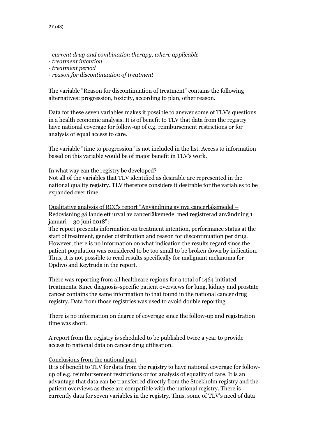- *- current drug and combination therapy, where applicable*
- *- treatment intention*
- *- treatment period*
- *- reason for discontinuation of treatment*

The variable "Reason for discontinuation of treatment" contains the following alternatives: progression, toxicity, according to plan, other reason.

Data for these seven variables makes it possible to answer some of TLV's questions in a health economic analysis. It is of benefit to TLV that data from the registry have national coverage for follow-up of e.g. reimbursement restrictions or for analysis of equal access to care.

The variable "time to progression" is not included in the list. Access to information based on this variable would be of major benefit in TLV's work.

#### In what way can the registry be developed?

Not all of the variables that TLV identified as desirable are represented in the national quality registry. TLV therefore considers it desirable for the variables to be expanded over time.

Qualitative analysis of RCC's report "Användning av nya cancerläkemedel – Redovisning gällande ett urval av cancerläkemedel med registrerad användning 1 januari – 30 juni 2018":

The report presents information on treatment intention, performance status at the start of treatment, gender distribution and reason for discontinuation per drug. However, there is no information on what indication the results regard since the patient population was considered to be too small to be broken down by indication. Thus, it is not possible to read results specifically for malignant melanoma for Opdivo and Keytruda in the report.

There was reporting from all healthcare regions for a total of 1464 initiated treatments. Since diagnosis-specific patient overviews for lung, kidney and prostate cancer contains the same information to that found in the national cancer drug registry. Data from those registries was used to avoid double reporting.

There is no information on degree of coverage since the follow-up and registration time was short.

A report from the registry is scheduled to be published twice a year to provide access to national data on cancer drug utilisation.

#### Conclusions from the national part

It is of benefit to TLV for data from the registry to have national coverage for followup of e.g. reimbursement restrictions or for analysis of equality of care. It is an advantage that data can be transferred directly from the Stockholm registry and the patient overviews as these are compatible with the national registry. There is currently data for seven variables in the registry. Thus, some of TLV's need of data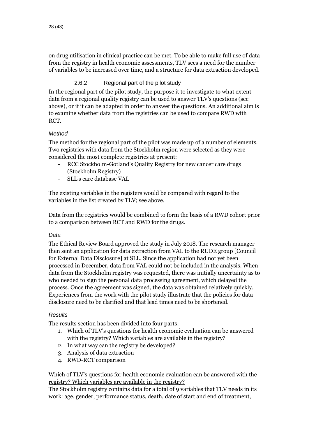on drug utilisation in clinical practice can be met. To be able to make full use of data from the registry in health economic assessments, TLV sees a need for the number of variables to be increased over time, and a structure for data extraction developed.

#### 2.6.2 Regional part of the pilot study

<span id="page-27-0"></span>In the regional part of the pilot study, the purpose it to investigate to what extent data from a regional quality registry can be used to answer TLV's questions (see above), or if it can be adapted in order to answer the questions. An additional aim is to examine whether data from the registries can be used to compare RWD with RCT.

#### *Method*

The method for the regional part of the pilot was made up of a number of elements. Two registries with data from the Stockholm region were selected as they were considered the most complete registries at present:

- RCC Stockholm-Gotland's Quality Registry for new cancer care drugs (Stockholm Registry)
- SLL's care database VAL

The existing variables in the registers would be compared with regard to the variables in the list created by TLV; see above.

Data from the registries would be combined to form the basis of a RWD cohort prior to a comparison between RCT and RWD for the drugs.

#### *Data*

The Ethical Review Board approved the study in July 2018. The research manager then sent an application for data extraction from VAL to the RUDE group [Council for External Data Disclosure] at SLL. Since the application had not yet been processed in December, data from VAL could not be included in the analysis. When data from the Stockholm registry was requested, there was initially uncertainty as to who needed to sign the personal data processing agreement, which delayed the process. Once the agreement was signed, the data was obtained relatively quickly. Experiences from the work with the pilot study illustrate that the policies for data disclosure need to be clarified and that lead times need to be shortened.

#### *Results*

The results section has been divided into four parts:

- 1. Which of TLV's questions for health economic evaluation can be answered with the registry? Which variables are available in the registry?
- 2. In what way can the registry be developed?
- 3. Analysis of data extraction
- 4. RWD-RCT comparison

Which of TLV's questions for health economic evaluation can be answered with the registry? Which variables are available in the registry?

The Stockholm registry contains data for a total of 9 variables that TLV needs in its work: age, gender, performance status, death, date of start and end of treatment,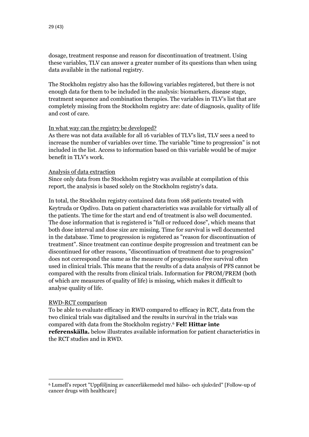dosage, treatment response and reason for discontinuation of treatment. Using these variables, TLV can answer a greater number of its questions than when using data available in the national registry.

The Stockholm registry also has the following variables registered, but there is not enough data for them to be included in the analysis: biomarkers, disease stage, treatment sequence and combination therapies. The variables in TLV's list that are completely missing from the Stockholm registry are: date of diagnosis, quality of life and cost of care.

#### In what way can the registry be developed?

As there was not data available for all 16 variables of TLV's list, TLV sees a need to increase the number of variables over time. The variable "time to progression" is not included in the list. Access to information based on this variable would be of major benefit in TLV's work.

#### Analysis of data extraction

Since only data from the Stockholm registry was available at compilation of this report, the analysis is based solely on the Stockholm registry's data.

In total, the Stockholm registry contained data from 168 patients treated with Keytruda or Opdivo. Data on patient characteristics was available for virtually all of the patients. The time for the start and end of treatment is also well documented. The dose information that is registered is "full or reduced dose", which means that both dose interval and dose size are missing. Time for survival is well documented in the database. Time to progression is registered as "reason for discontinuation of treatment". Since treatment can continue despite progression and treatment can be discontinued for other reasons, "discontinuation of treatment due to progression" does not correspond the same as the measure of progression-free survival often used in clinical trials. This means that the results of a data analysis of PFS cannot be compared with the results from clinical trials. Information for PROM/PREM (both of which are measures of quality of life) is missing, which makes it difficult to analyse quality of life.

#### RWD-RCT comparison

 $\overline{a}$ 

To be able to evaluate efficacy in RWD compared to efficacy in RCT, data from the two clinical trials was digitalised and the results in survival in the trials was compared with data from the Stockholm registry.<sup>6</sup> **Fel! Hittar inte referenskälla.** below illustrates available information for patient characteristics in the RCT studies and in RWD.

<sup>6</sup> Lumell's report "Uppföljning av cancerläkemedel med hälso- och sjukvård" [Follow-up of cancer drugs with healthcare]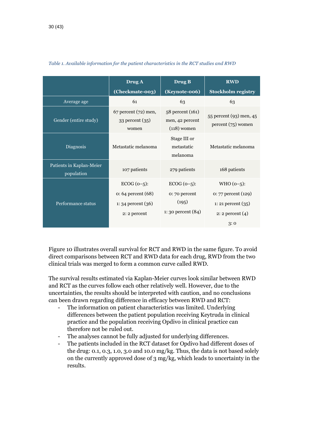|                                        | Drug A                                               | Drug B                                               | <b>RWD</b>                                      |
|----------------------------------------|------------------------------------------------------|------------------------------------------------------|-------------------------------------------------|
|                                        | (Checkmate-003)                                      | (Keynote-006)                                        | <b>Stockholm registry</b>                       |
| Average age                            | 61                                                   | 63                                                   | 63                                              |
| Gender (entire study)                  | 67 percent (72) men,<br>$33$ percent $(35)$<br>women | 58 percent (161)<br>men, 42 percent<br>$(118)$ women | 55 percent (93) men, 45<br>$percent (75)$ women |
| Diagnosis                              | Metastatic melanoma                                  | Stage III or<br>metastatic<br>melanoma               | Metastatic melanoma                             |
| Patients in Kaplan-Meier<br>population | 107 patients                                         | 279 patients                                         | 168 patients                                    |
|                                        | $ECOG(0-5)$ :<br>$o: 64$ percent $(68)$              | $ECOG(0-5)$ :<br>$0:70$ percent                      | $WHO (0-5):$<br>$0: 77$ percent $(129)$         |
| Performance status                     | 1: 34 percent $(36)$<br>2: 2 percent                 | (195)<br>1: 30 percent $(84)$                        | 1: 21 percent $(35)$<br>2: 2 percent $(4)$      |
|                                        |                                                      |                                                      | 3:0                                             |

#### *Table 1. Available information for the patient characteristics in the RCT studies and RWD*

[Figure 10](#page-30-0) illustrates overall survival for RCT and RWD in the same figure. To avoid direct comparisons between RCT and RWD data for each drug, RWD from the two clinical trials was merged to form a common curve called RWD.

The survival results estimated via Kaplan-Meier curves look similar between RWD and RCT as the curves follow each other relatively well. However, due to the uncertainties, the results should be interpreted with caution, and no conclusions can been drawn regarding difference in efficacy between RWD and RCT:

- The information on patient characteristics was limited. Underlying differences between the patient population receiving Keytruda in clinical practice and the population receiving Opdivo in clinical practice can therefore not be ruled out.
- The analyses cannot be fully adjusted for underlying differences.
- The patients included in the RCT dataset for Opdivo had different doses of the drug: 0.1, 0.3, 1.0, 3.0 and 10.0 mg/kg. Thus, the data is not based solely on the currently approved dose of 3 mg/kg, which leads to uncertainty in the results.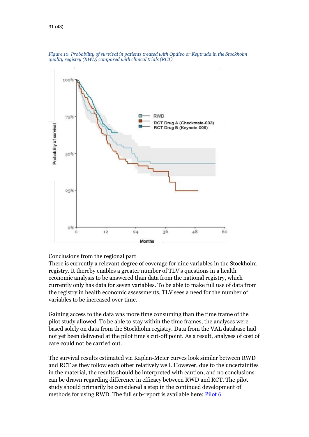

<span id="page-30-0"></span>*Figure 10. Probability of survival in patients treated with Opdivo or Keytruda in the Stockholm quality registry (RWD) compared with clinical trials (RCT)*

#### Conclusions from the regional part

There is currently a relevant degree of coverage for nine variables in the Stockholm registry. It thereby enables a greater number of TLV's questions in a health economic analysis to be answered than data from the national registry, which currently only has data for seven variables. To be able to make full use of data from the registry in health economic assessments, TLV sees a need for the number of variables to be increased over time.

Gaining access to the data was more time consuming than the time frame of the pilot study allowed. To be able to stay within the time frames, the analyses were based solely on data from the Stockholm registry. Data from the VAL database had not yet been delivered at the pilot time's cut-off point. As a result, analyses of cost of care could not be carried out.

The survival results estimated via Kaplan-Meier curves look similar between RWD and RCT as they follow each other relatively well. However, due to the uncertainties in the material, the results should be interpreted with caution, and no conclusions can be drawn regarding difference in efficacy between RWD and RCT. The pilot study should primarily be considered a step in the continued development of methods for using RWD. The full sub-report is available here: [Pilot 6](https://www.tlv.se/download/18.3d61c3c3167c695651ef74d/1545299007680/Pilot6-Uppfoljning_av_cancerlakemedel.pdf)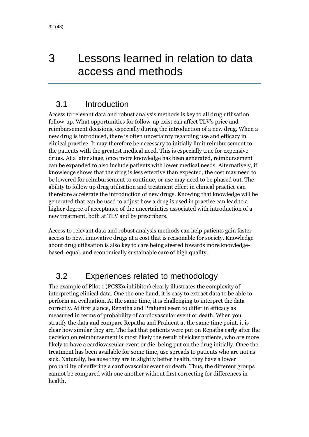## <span id="page-31-0"></span>3 Lessons learned in relation to data access and methods

### <span id="page-31-1"></span>3.1 Introduction

Access to relevant data and robust analysis methods is key to all drug utilisation follow-up. What opportunities for follow-up exist can affect TLV's price and reimbursement decisions, especially during the introduction of a new drug. When a new drug is introduced, there is often uncertainty regarding use and efficacy in clinical practice. It may therefore be necessary to initially limit reimbursement to the patients with the greatest medical need. This is especially true for expensive drugs. At a later stage, once more knowledge has been generated, reimbursement can be expanded to also include patients with lower medical needs. Alternatively, if knowledge shows that the drug is less effective than expected, the cost may need to be lowered for reimbursement to continue, or use may need to be phased out. The ability to follow up drug utilisation and treatment effect in clinical practice can therefore accelerate the introduction of new drugs. Knowing that knowledge will be generated that can be used to adjust how a drug is used in practice can lead to a higher degree of acceptance of the uncertainties associated with introduction of a new treatment, both at TLV and by prescribers.

Access to relevant data and robust analysis methods can help patients gain faster access to new, innovative drugs at a cost that is reasonable for society. Knowledge about drug utilisation is also key to care being steered towards more knowledgebased, equal, and economically sustainable care of high quality.

## <span id="page-31-2"></span>3.2 Experiences related to methodology

The example of Pilot 1 (PCSK9 inhibitor) clearly illustrates the complexity of interpreting clinical data. One the one hand, it is easy to extract data to be able to perform an evaluation. At the same time, it is challenging to interpret the data correctly. At first glance, Repatha and Praluent seem to differ in efficacy as measured in terms of probability of cardiovascular event or death. When you stratify the data and compare Repatha and Praluent at the same time point, it is clear how similar they are. The fact that patients were put on Repatha early after the decision on reimbursement is most likely the result of sicker patients, who are more likely to have a cardiovascular event or die, being put on the drug initially. Once the treatment has been available for some time, use spreads to patients who are not as sick. Naturally, because they are in slightly better health, they have a lower probability of suffering a cardiovascular event or death. Thus, the different groups cannot be compared with one another without first correcting for differences in health.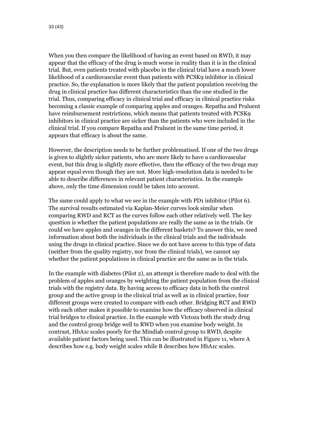When you then compare the likelihood of having an event based on RWD, it may appear that the efficacy of the drug is much worse in reality than it is in the clinical trial. But, even patients treated with placebo in the clinical trial have a much lower likelihood of a cardiovascular event than patients with PCSK9 inhibitor in clinical practice. So, the explanation is more likely that the patient population receiving the drug in clinical practice has different characteristics than the one studied in the trial. Thus, comparing efficacy in clinical trial and efficacy in clinical practice risks becoming a classic example of comparing apples and oranges. Repatha and Praluent have reimbursement restrictions, which means that patients treated with PCSK9 inhibitors in clinical practice are sicker than the patients who were included in the clinical trial. If you compare Repatha and Praluent in the same time period, it appears that efficacy is about the same.

However, the description needs to be further problematised. If one of the two drugs is given to slightly sicker patients, who are more likely to have a cardiovascular event, but this drug is slightly more effective, then the efficacy of the two drugs may appear equal even though they are not. More high-resolution data is needed to be able to describe differences in relevant patient characteristics. In the example above, only the time dimension could be taken into account.

The same could apply to what we see in the example with PD1 inhibitor (Pilot 6). The survival results estimated via Kaplan-Meier curves look similar when comparing RWD and RCT as the curves follow each other relatively well. The key question is whether the patient populations are really the same as in the trials. Or could we have apples and oranges in the different baskets? To answer this, we need information about both the individuals in the clinical trials and the individuals using the drugs in clinical practice. Since we do not have access to this type of data (neither from the quality registry, nor from the clinical trials), we cannot say whether the patient populations in clinical practice are the same as in the trials.

In the example with diabetes (Pilot 2), an attempt is therefore made to deal with the problem of apples and oranges by weighting the patient population from the clinical trials with the registry data. By having access to efficacy data in both the control group and the active group in the clinical trial as well as in clinical practice, four different groups were created to compare with each other. Bridging RCT and RWD with each other makes it possible to examine how the efficacy observed in clinical trial bridges to clinical practice. In the example with Victoza both the study drug and the control group bridge well to RWD when you examine body weight. In contrast, HbA1c scales poorly for the Mindiab control group to RWD, despite available patient factors being used. This can be illustrated i[n Figure 11,](#page-33-0) where A describes how e.g. body weight scales while B describes how HbA1c scales.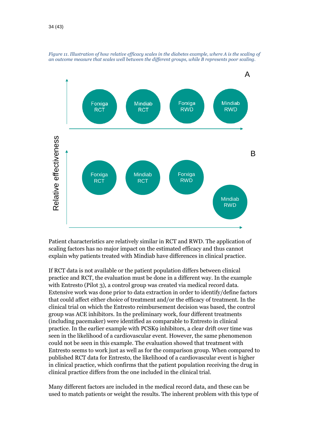

<span id="page-33-0"></span>*Figure 11. Illustration of how relative efficacy scales in the diabetes example, where A is the scaling of an outcome measure that scales well between the different groups, while B represents poor scaling.*

Patient characteristics are relatively similar in RCT and RWD. The application of scaling factors has no major impact on the estimated efficacy and thus cannot explain why patients treated with Mindiab have differences in clinical practice.

If RCT data is not available or the patient population differs between clinical practice and RCT, the evaluation must be done in a different way. In the example with Entresto (Pilot 3), a control group was created via medical record data. Extensive work was done prior to data extraction in order to identify/define factors that could affect either choice of treatment and/or the efficacy of treatment. In the clinical trial on which the Entresto reimbursement decision was based, the control group was ACE inhibitors. In the preliminary work, four different treatments (including pacemaker) were identified as comparable to Entresto in clinical practice. In the earlier example with PCSK9 inhibitors, a clear drift over time was seen in the likelihood of a cardiovascular event. However, the same phenomenon could not be seen in this example. The evaluation showed that treatment with Entresto seems to work just as well as for the comparison group. When compared to published RCT data for Entresto, the likelihood of a cardiovascular event is higher in clinical practice, which confirms that the patient population receiving the drug in clinical practice differs from the one included in the clinical trial.

Many different factors are included in the medical record data, and these can be used to match patients or weight the results. The inherent problem with this type of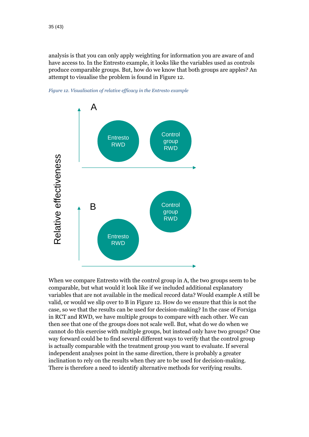analysis is that you can only apply weighting for information you are aware of and have access to. In the Entresto example, it looks like the variables used as controls produce comparable groups. But, how do we know that both groups are apples? An attempt to visualise the problem is found in Figure 12.



<span id="page-34-0"></span>

When we compare Entresto with the control group in A, the two groups seem to be comparable, but what would it look like if we included additional explanatory variables that are not available in the medical record data? Would example A still be valid, or would we slip over to B in [Figure 12.](#page-34-0) How do we ensure that this is not the case, so we that the results can be used for decision-making? In the case of Forxiga in RCT and RWD, we have multiple groups to compare with each other. We can then see that one of the groups does not scale well. But, what do we do when we cannot do this exercise with multiple groups, but instead only have two groups? One way forward could be to find several different ways to verify that the control group is actually comparable with the treatment group you want to evaluate. If several independent analyses point in the same direction, there is probably a greater inclination to rely on the results when they are to be used for decision-making. There is therefore a need to identify alternative methods for verifying results.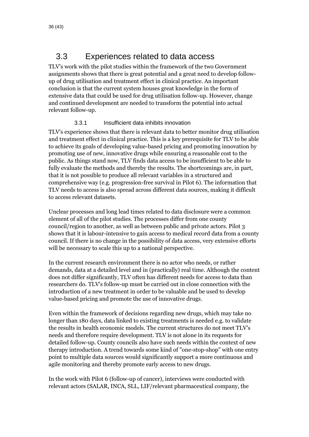## <span id="page-35-0"></span>3.3 Experiences related to data access

TLV's work with the pilot studies within the framework of the two Government assignments shows that there is great potential and a great need to develop followup of drug utilisation and treatment effect in clinical practice. An important conclusion is that the current system houses great knowledge in the form of extensive data that could be used for drug utilisation follow-up. However, change and continued development are needed to transform the potential into actual relevant follow-up.

#### 3.3.1 Insufficient data inhibits innovation

<span id="page-35-1"></span>TLV's experience shows that there is relevant data to better monitor drug utilisation and treatment effect in clinical practice. This is a key prerequisite for TLV to be able to achieve its goals of developing value-based pricing and promoting innovation by promoting use of new, innovative drugs while ensuring a reasonable cost to the public. As things stand now, TLV finds data access to be insufficient to be able to fully evaluate the methods and thereby the results. The shortcomings are, in part, that it is not possible to produce all relevant variables in a structured and comprehensive way (e.g. progression-free survival in Pilot 6). The information that TLV needs to access is also spread across different data sources, making it difficult to access relevant datasets.

Unclear processes and long lead times related to data disclosure were a common element of all of the pilot studies. The processes differ from one county council/region to another, as well as between public and private actors. Pilot 3 shows that it is labour-intensive to gain access to medical record data from a county council. If there is no change in the possibility of data access, very extensive efforts will be necessary to scale this up to a national perspective.

In the current research environment there is no actor who needs, or rather demands, data at a detailed level and in (practically) real time. Although the content does not differ significantly, TLV often has different needs for access to data than researchers do. TLV's follow-up must be carried out in close connection with the introduction of a new treatment in order to be valuable and be used to develop value-based pricing and promote the use of innovative drugs.

Even within the framework of decisions regarding new drugs, which may take no longer than 180 days, data linked to existing treatments is needed e.g. to validate the results in health economic models. The current structures do not meet TLV's needs and therefore require development. TLV is not alone in its requests for detailed follow-up. County councils also have such needs within the context of new therapy introduction. A trend towards some kind of "one-stop-shop" with one entry point to multiple data sources would significantly support a more continuous and agile monitoring and thereby promote early access to new drugs.

In the work with Pilot 6 (follow-up of cancer), interviews were conducted with relevant actors (SALAR, INCA, SLL, LIF/relevant pharmaceutical company, the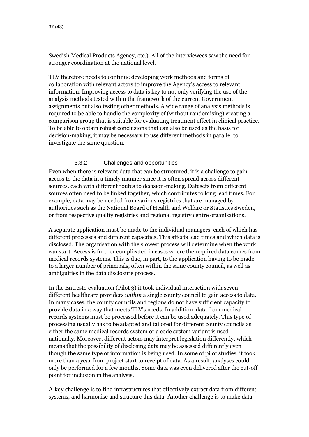Swedish Medical Products Agency, etc.). All of the interviewees saw the need for stronger coordination at the national level.

TLV therefore needs to continue developing work methods and forms of collaboration with relevant actors to improve the Agency's access to relevant information. Improving access to data is key to not only verifying the use of the analysis methods tested within the framework of the current Government assignments but also testing other methods. A wide range of analysis methods is required to be able to handle the complexity of (without randomising) creating a comparison group that is suitable for evaluating treatment effect in clinical practice. To be able to obtain robust conclusions that can also be used as the basis for decision-making, it may be necessary to use different methods in parallel to investigate the same question.

#### 3.3.2 Challenges and opportunities

<span id="page-36-0"></span>Even when there is relevant data that can be structured, it is a challenge to gain access to the data in a timely manner since it is often spread across different sources, each with different routes to decision-making. Datasets from different sources often need to be linked together, which contributes to long lead times. For example, data may be needed from various registries that are managed by authorities such as the National Board of Health and Welfare or Statistics Sweden, or from respective quality registries and regional registry centre organisations.

A separate application must be made to the individual managers, each of which has different processes and different capacities. This affects lead times and which data is disclosed. The organisation with the slowest process will determine when the work can start. Access is further complicated in cases where the required data comes from medical records systems. This is due, in part, to the application having to be made to a larger number of principals, often within the same county council, as well as ambiguities in the data disclosure process.

In the Entresto evaluation (Pilot 3) it took individual interaction with seven different healthcare providers *within* a single county council to gain access to data. In many cases, the county councils and regions do not have sufficient capacity to provide data in a way that meets TLV's needs. In addition, data from medical records systems must be processed before it can be used adequately. This type of processing usually has to be adapted and tailored for different county councils as either the same medical records system or a code system variant is used nationally. Moreover, different actors may interpret legislation differently, which means that the possibility of disclosing data may be assessed differently even though the same type of information is being used. In some of pilot studies, it took more than a year from project start to receipt of data. As a result, analyses could only be performed for a few months. Some data was even delivered after the cut-off point for inclusion in the analysis.

A key challenge is to find infrastructures that effectively extract data from different systems, and harmonise and structure this data. Another challenge is to make data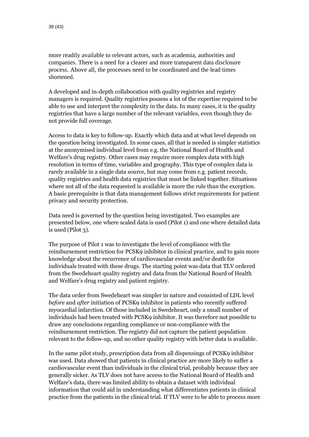more readily available to relevant actors, such as academia, authorities and companies. There is a need for a clearer and more transparent data disclosure process. Above all, the processes need to be coordinated and the lead times shortened.

A developed and in-depth collaboration with quality registries and registry managers is required. Quality registries possess a lot of the expertise required to be able to use and interpret the complexity in the data. In many cases, it is the quality registries that have a large number of the relevant variables, even though they do not provide full coverage.

Access to data is key to follow-up. Exactly which data and at what level depends on the question being investigated. In some cases, all that is needed is simpler statistics at the anonymised individual level from e.g. the National Board of Health and Welfare's drug registry. Other cases may require more complex data with high resolution in terms of time, variables and geography. This type of complex data is rarely available in a single data source, but may come from e.g. patient records, quality registries and health data registries that must be linked together. Situations where not all of the data requested is available is more the rule than the exception. A basic prerequisite is that data management follows strict requirements for patient privacy and security protection.

Data need is governed by the question being investigated. Two examples are presented below, one where scaled data is used (Pilot 1) and one where detailed data is used (Pilot 3).

The purpose of Pilot 1 was to investigate the level of compliance with the reimbursement restriction for PCSK9 inhibitor in clinical practice, and to gain more knowledge about the recurrence of cardiovascular events and/or death for individuals treated with these drugs. The starting point was data that TLV ordered from the Swedeheart quality registry and data from the National Board of Health and Welfare's drug registry and patient registry.

The data order from Swedeheart was simpler in nature and consisted of LDL level *before* and *after* initiation of PCSK9 inhibitor in patients who recently suffered myocardial infarction. Of those included in Swedeheart, only a small number of individuals had been treated with PCSK9 inhibitor. It was therefore not possible to draw any conclusions regarding compliance or non-compliance with the reimbursement restriction. The registry did not capture the patient population relevant to the follow-up, and no other quality registry with better data is available.

In the same pilot study, prescription data from all dispensings of PCSK9 inhibitor was used. Data showed that patients in clinical practice are more likely to suffer a cardiovascular event than individuals in the clinical trial, probably because they are generally sicker. As TLV does not have access to the National Board of Health and Welfare's data, there was limited ability to obtain a dataset with individual information that could aid in understanding what differentiates patients in clinical practice from the patients in the clinical trial. If TLV were to be able to process more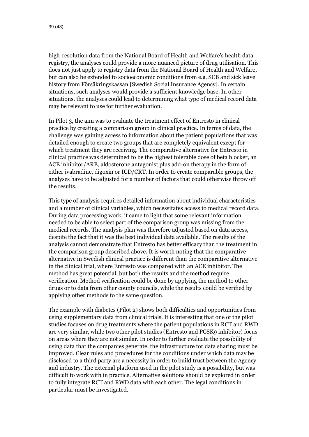high-resolution data from the National Board of Health and Welfare's health data registry, the analyses could provide a more nuanced picture of drug utilisation. This does not just apply to registry data from the National Board of Health and Welfare, but can also be extended to socioeconomic conditions from e.g. SCB and sick leave history from Försäkringskassan [Swedish Social Insurance Agency]. In certain situations, such analyses would provide a sufficient knowledge base. In other situations, the analyses could lead to determining what type of medical record data may be relevant to use for further evaluation.

In Pilot 3, the aim was to evaluate the treatment effect of Entresto in clinical practice by creating a comparison group in clinical practice. In terms of data, the challenge was gaining access to information about the patient populations that was detailed enough to create two groups that are completely equivalent except for which treatment they are receiving. The comparative alternative for Entresto in clinical practice was determined to be the highest tolerable dose of beta blocker, an ACE inhibitor/ARB, aldosterone antagonist plus add-on therapy in the form of either ivabradine, digoxin or ICD/CRT. In order to create comparable groups, the analyses have to be adjusted for a number of factors that could otherwise throw off the results.

This type of analysis requires detailed information about individual characteristics and a number of clinical variables, which necessitates access to medical record data. During data processing work, it came to light that some relevant information needed to be able to select part of the comparison group was missing from the medical records. The analysis plan was therefore adjusted based on data access, despite the fact that it was the best individual data available. The results of the analysis cannot demonstrate that Entresto has better efficacy than the treatment in the comparison group described above. It is worth noting that the comparative alternative in Swedish clinical practice is different than the comparative alternative in the clinical trial, where Entresto was compared with an ACE inhibitor. The method has great potential, but both the results and the method require verification. Method verification could be done by applying the method to other drugs or to data from other county councils, while the results could be verified by applying other methods to the same question.

The example with diabetes (Pilot 2) shows both difficulties and opportunities from using supplementary data from clinical trials. It is interesting that one of the pilot studies focuses on drug treatments where the patient populations in RCT and RWD are very similar, while two other pilot studies (Entresto and PCSK9 inhibitor) focus on areas where they are not similar. In order to further evaluate the possibility of using data that the companies generate, the infrastructure for data sharing must be improved. Clear rules and procedures for the conditions under which data may be disclosed to a third party are a necessity in order to build trust between the Agency and industry. The external platform used in the pilot study is a possibility, but was difficult to work with in practice. Alternative solutions should be explored in order to fully integrate RCT and RWD data with each other. The legal conditions in particular must be investigated.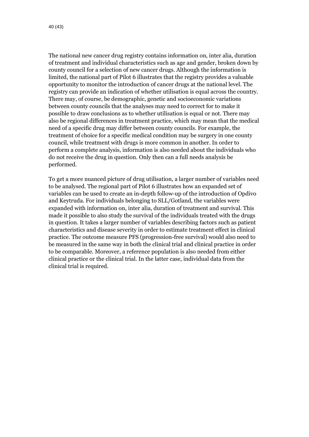The national new cancer drug registry contains information on, inter alia, duration of treatment and individual characteristics such as age and gender, broken down by county council for a selection of new cancer drugs. Although the information is limited, the national part of Pilot 6 illustrates that the registry provides a valuable opportunity to monitor the introduction of cancer drugs at the national level. The registry can provide an indication of whether utilisation is equal across the country. There may, of course, be demographic, genetic and socioeconomic variations between county councils that the analyses may need to correct for to make it possible to draw conclusions as to whether utilisation is equal or not. There may also be regional differences in treatment practice, which may mean that the medical need of a specific drug may differ between county councils. For example, the treatment of choice for a specific medical condition may be surgery in one county council, while treatment with drugs is more common in another. In order to perform a complete analysis, information is also needed about the individuals who do not receive the drug in question. Only then can a full needs analysis be performed.

To get a more nuanced picture of drug utilisation, a larger number of variables need to be analysed. The regional part of Pilot 6 illustrates how an expanded set of variables can be used to create an in-depth follow-up of the introduction of Opdivo and Keytruda. For individuals belonging to SLL/Gotland, the variables were expanded with information on, inter alia, duration of treatment and survival. This made it possible to also study the survival of the individuals treated with the drugs in question. It takes a larger number of variables describing factors such as patient characteristics and disease severity in order to estimate treatment effect in clinical practice. The outcome measure PFS (progression-free survival) would also need to be measured in the same way in both the clinical trial and clinical practice in order to be comparable. Moreover, a reference population is also needed from either clinical practice or the clinical trial. In the latter case, individual data from the clinical trial is required.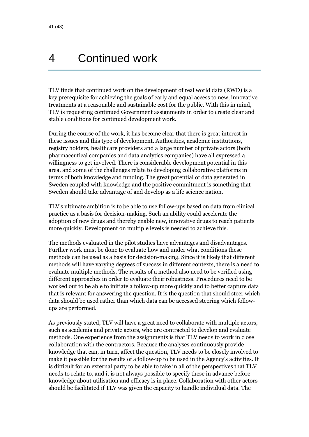## <span id="page-40-0"></span>4 Continued work

TLV finds that continued work on the development of real world data (RWD) is a key prerequisite for achieving the goals of early and equal access to new, innovative treatments at a reasonable and sustainable cost for the public. With this in mind, TLV is requesting continued Government assignments in order to create clear and stable conditions for continued development work.

During the course of the work, it has become clear that there is great interest in these issues and this type of development. Authorities, academic institutions, registry holders, healthcare providers and a large number of private actors (both pharmaceutical companies and data analytics companies) have all expressed a willingness to get involved. There is considerable development potential in this area, and some of the challenges relate to developing collaborative platforms in terms of both knowledge and funding. The great potential of data generated in Sweden coupled with knowledge and the positive commitment is something that Sweden should take advantage of and develop as a life science nation.

TLV's ultimate ambition is to be able to use follow-ups based on data from clinical practice as a basis for decision-making. Such an ability could accelerate the adoption of new drugs and thereby enable new, innovative drugs to reach patients more quickly. Development on multiple levels is needed to achieve this.

The methods evaluated in the pilot studies have advantages and disadvantages. Further work must be done to evaluate how and under what conditions these methods can be used as a basis for decision-making. Since it is likely that different methods will have varying degrees of success in different contexts, there is a need to evaluate multiple methods. The results of a method also need to be verified using different approaches in order to evaluate their robustness. Procedures need to be worked out to be able to initiate a follow-up more quickly and to better capture data that is relevant for answering the question. It is the question that should steer which data should be used rather than which data can be accessed steering which followups are performed.

As previously stated, TLV will have a great need to collaborate with multiple actors, such as academia and private actors, who are contracted to develop and evaluate methods. One experience from the assignments is that TLV needs to work in close collaboration with the contractors. Because the analyses continuously provide knowledge that can, in turn, affect the question, TLV needs to be closely involved to make it possible for the results of a follow-up to be used in the Agency's activities. It is difficult for an external party to be able to take in all of the perspectives that TLV needs to relate to, and it is not always possible to specify these in advance before knowledge about utilisation and efficacy is in place. Collaboration with other actors should be facilitated if TLV was given the capacity to handle individual data. The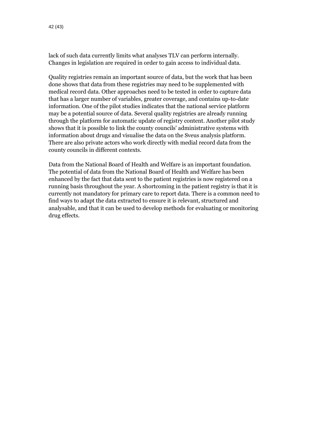lack of such data currently limits what analyses TLV can perform internally. Changes in legislation are required in order to gain access to individual data.

Quality registries remain an important source of data, but the work that has been done shows that data from these registries may need to be supplemented with medical record data. Other approaches need to be tested in order to capture data that has a larger number of variables, greater coverage, and contains up-to-date information. One of the pilot studies indicates that the national service platform may be a potential source of data. Several quality registries are already running through the platform for automatic update of registry content. Another pilot study shows that it is possible to link the county councils' administrative systems with information about drugs and visualise the data on the Sveus analysis platform. There are also private actors who work directly with medial record data from the county councils in different contexts.

Data from the National Board of Health and Welfare is an important foundation. The potential of data from the National Board of Health and Welfare has been enhanced by the fact that data sent to the patient registries is now registered on a running basis throughout the year. A shortcoming in the patient registry is that it is currently not mandatory for primary care to report data. There is a common need to find ways to adapt the data extracted to ensure it is relevant, structured and analysable, and that it can be used to develop methods for evaluating or monitoring drug effects.